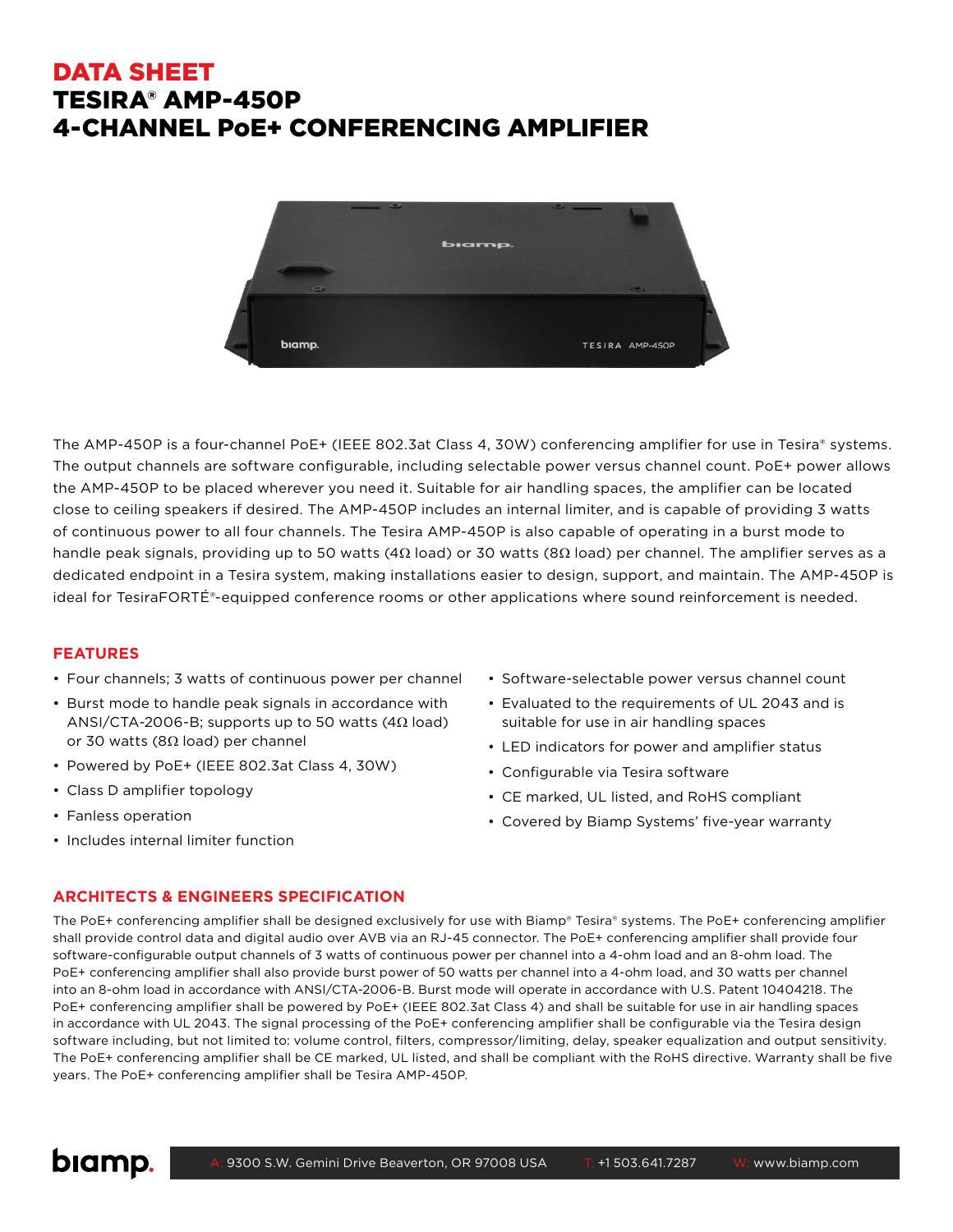# DATA SHEET TESIRA® AMP-450P 4-CHANNEL PoE+ CONFERENCING AMPLIFIER



The AMP-450P is a four-channel PoE+ (IEEE 802.3at Class 4, 30W) conferencing amplifier for use in Tesira® systems. The output channels are software configurable, including selectable power versus channel count. PoE+ power allows the AMP-450P to be placed wherever you need it. Suitable for air handling spaces, the amplifier can be located close to ceiling speakers if desired. The AMP-450P includes an internal limiter, and is capable of providing 3 watts of continuous power to all four channels. The Tesira AMP-450P is also capable of operating in a burst mode to handle peak signals, providing up to 50 watts (4Ω load) or 30 watts (8Ω load) per channel. The amplifier serves as a dedicated endpoint in a Tesira system, making installations easier to design, support, and maintain. The AMP-450P is ideal for TesiraFORTÉ®-equipped conference rooms or other applications where sound reinforcement is needed.

#### **FEATURES**

- Four channels; 3 watts of continuous power per channel
- Burst mode to handle peak signals in accordance with ANSI/CTA-2006-B; supports up to 50 watts (4Ω load) or 30 watts (8Ω load) per channel
- Powered by PoE+ (IEEE 802.3at Class 4, 30W)
- Class D amplifier topology
- Fanless operation
- Includes internal limiter function
- Software-selectable power versus channel count
- Evaluated to the requirements of UL 2043 and is suitable for use in air handling spaces
- LED indicators for power and amplifier status
- Configurable via Tesira software
- CE marked, UL listed, and RoHS compliant
- Covered by Biamp Systems' five-year warranty

## **ARCHITECTS & ENGINEERS SPECIFICATION**

The PoE+ conferencing amplifier shall be designed exclusively for use with Biamp® Tesira® systems. The PoE+ conferencing amplifier shall provide control data and digital audio over AVB via an RJ-45 connector. The PoE+ conferencing amplifier shall provide four software-configurable output channels of 3 watts of continuous power per channel into a 4-ohm load and an 8-ohm load. The PoE+ conferencing amplifier shall also provide burst power of 50 watts per channel into a 4-ohm load, and 30 watts per channel into an 8-ohm load in accordance with ANSI/CTA-2006-B. Burst mode will operate in accordance with U.S. Patent 10404218. The PoE+ conferencing amplifier shall be powered by PoE+ (IEEE 802.3at Class 4) and shall be suitable for use in air handling spaces in accordance with UL 2043. The signal processing of the PoE+ conferencing amplifier shall be configurable via the Tesira design software including, but not limited to: volume control, filters, compressor/limiting, delay, speaker equalization and output sensitivity. The PoE+ conferencing amplifier shall be CE marked, UL listed, and shall be compliant with the RoHS directive. Warranty shall be five years. The PoE+ conferencing amplifier shall be Tesira AMP-450P.